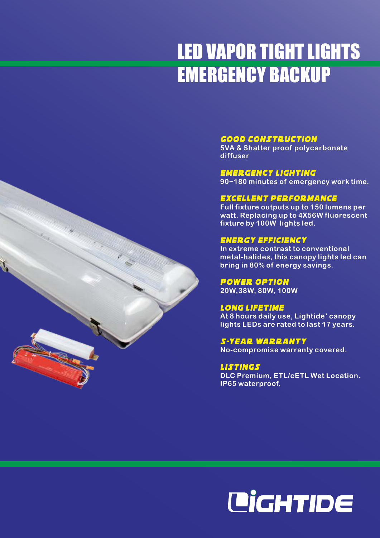# LED VAPOR TIGHT LIGHTS EMERGENCY BACKUP

### Good CONSTRUCTION

**5VA & Shatter proof polycarbonate diffuser**

Emergency Lighting **90~180 minutes of emergency work time.**

#### Excellent Performance

**Full fixture outputs up to 150 lumens per watt. Replacing up to 4X56W fluorescent fixture by 100W lights led.** 

#### Energy Efficiency

**In extreme contrast to conventional metal-halides, this canopy lights led can bring in 80% of energy savings.**

Power Option **20W,38W, 80W, 100W**

**At 8 hours daily use, Lightide' canopy lights LEDs are rated to last 17 years.** Long Lifetime

**No-compromise warranty covered.** 5-year Warranty

Listings **DLC Premium, ETL/cETL Wet Location. IP65 waterproof.**